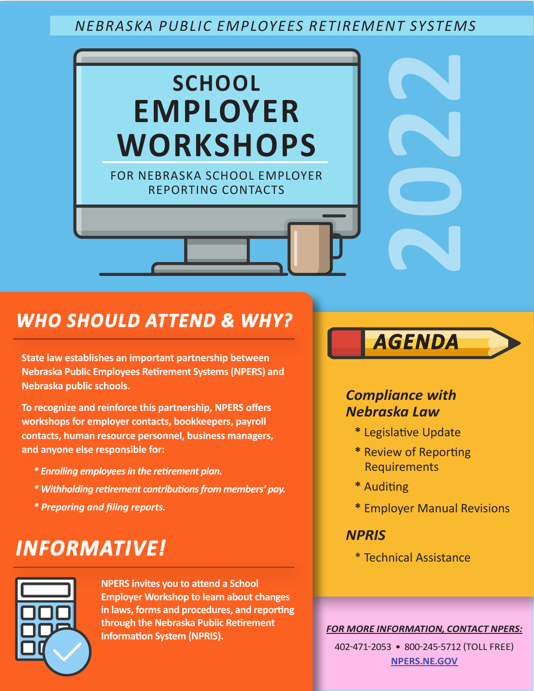## *NEBRASKA PUBLIC EMPLOYEES RETIREMENT SYSTEMS*



## *WHO SHOULD ATTEND & WHY?*

**State law establishes an important partnership between Nebraska Public Employees Retirement Systems (NPERS) and Nebraska public schools.**

**To recognize and reinforce this partnership, NPERS offers workshops for employer contacts, bookkeepers, payroll contacts, human resource personnel, business managers, and anyone else responsible for:**

- *\* Enrolling employees in the retirement plan.*
- *\* Withholding retirement contributions from members' pay.*
- *\* Preparing and filing reports.*

# *INFORMATIVE!*

**NPERS invites you to attend a School Employer Workshop to learn about changes in laws, forms and procedures, and reporting through the Nebraska Public Retirement Information System (NPRIS).**

# *AGENDA*

## *Compliance with Nebraska Law*

- **\*** Legislative Update
- **\*** Review of Reporting Requirements
- **\*** Auditing
- **\*** Employer Manual Revisions

### *NPRIS*

\* Technical Assistance

*FOR MORE INFORMATION, CONTACT NPERS:*

402-471-2053 • 800-245-5712 (TOLL FREE) **[NPERS.NE.GOV](http://npers.ne.gov)**